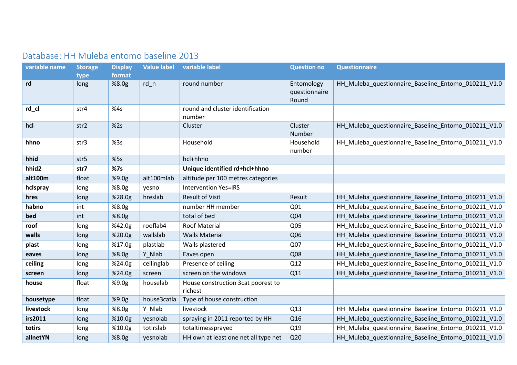## Database: HH Muleba entomo baseline 2013

| variable name | <b>Storage</b><br>type | <b>Display</b><br>format | <b>Value label</b> | variable label                                | <b>Question no</b>                   | <b>Questionnaire</b>                                |  |
|---------------|------------------------|--------------------------|--------------------|-----------------------------------------------|--------------------------------------|-----------------------------------------------------|--|
| rd            | long                   | %8.0g                    | $rd_n$             | round number                                  | Entomology<br>questionnaire<br>Round | HH_Muleba_questionnaire_Baseline_Entomo_010211_V1.0 |  |
| rd_cl         | str4                   | %4s                      |                    | round and cluster identification<br>number    |                                      |                                                     |  |
| hcl           | str2                   | %2s                      |                    | Cluster                                       | Cluster<br>Number                    | HH_Muleba_questionnaire_Baseline_Entomo_010211_V1.0 |  |
| hhno          | str3                   | %3s                      |                    | Household                                     | Household<br>number                  | HH_Muleba_questionnaire_Baseline_Entomo_010211_V1.0 |  |
| hhid          | str <sub>5</sub>       | %5s                      |                    | hcl+hhno                                      |                                      |                                                     |  |
| hhid2         | str7                   | %7s                      |                    | Unique identified rd+hcl+hhno                 |                                      |                                                     |  |
| alt100m       | float                  | %9.0g                    | alt100mlab         | altitude per 100 metres categories            |                                      |                                                     |  |
| hclspray      | long                   | %8.0g                    | yesno              | <b>Intervention Yes=IRS</b>                   |                                      |                                                     |  |
| hres          | long                   | %28.0g                   | hreslab            | <b>Result of Visit</b>                        | Result                               | HH Muleba questionnaire Baseline Entomo 010211 V1.0 |  |
| habno         | int                    | %8.0g                    |                    | number HH member                              | Q01                                  | HH_Muleba_questionnaire_Baseline_Entomo_010211_V1.0 |  |
| bed           | int                    | %8.0g                    |                    | total of bed                                  | Q04                                  | HH_Muleba_questionnaire_Baseline_Entomo_010211_V1.0 |  |
| roof          | long                   | %42.0g                   | rooflab4           | <b>Roof Material</b>                          | Q05                                  | HH_Muleba_questionnaire_Baseline_Entomo_010211_V1.0 |  |
| walls         | long                   | %20.0g                   | wallslab           | <b>Walls Material</b>                         | Q06                                  | HH_Muleba_questionnaire_Baseline_Entomo_010211_V1.0 |  |
| plast         | long                   | %17.0g                   | plastlab           | Walls plastered                               | Q07                                  | HH_Muleba_questionnaire_Baseline_Entomo_010211_V1.0 |  |
| eaves         | long                   | %8.0g                    | Y_Nlab             | Eaves open                                    | Q08                                  | HH Muleba questionnaire Baseline Entomo 010211 V1.0 |  |
| ceiling       | long                   | %24.0g                   | ceilinglab         | Presence of ceiling                           | Q12                                  | HH_Muleba_questionnaire_Baseline_Entomo_010211_V1.0 |  |
| screen        | long                   | %24.0g                   | screen             | screen on the windows                         | Q11                                  | HH_Muleba_questionnaire_Baseline_Entomo_010211_V1.0 |  |
| house         | float                  | %9.0g                    | houselab           | House construction 3cat poorest to<br>richest |                                      |                                                     |  |
| housetype     | float                  | %9.0g                    | house3catla        | Type of house construction                    |                                      |                                                     |  |
| livestock     | long                   | %8.0g                    | Y_Nlab             | livestock                                     | Q13                                  | HH_Muleba_questionnaire_Baseline_Entomo_010211_V1.0 |  |
| irs2011       | long                   | %10.0g                   | yesnolab           | spraying in 2011 reported by HH               | Q16                                  | HH_Muleba_questionnaire_Baseline_Entomo_010211_V1.0 |  |
| totirs        | long                   | %10.0g                   | totirslab          | totaltimessprayed                             | Q19                                  | HH_Muleba_questionnaire_Baseline_Entomo_010211_V1.0 |  |
| allnetYN      | long                   | %8.0g                    | yesnolab           | HH own at least one net all type net          | Q <sub>20</sub>                      | HH Muleba questionnaire Baseline Entomo 010211 V1.0 |  |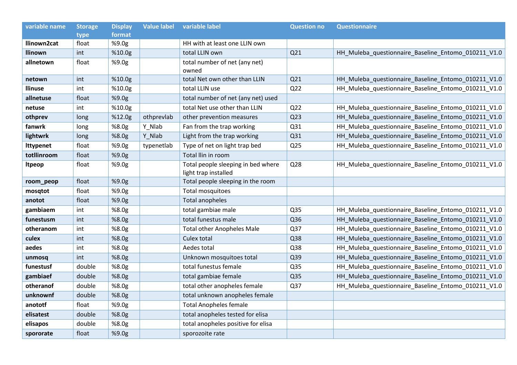| variable name    | <b>Storage</b> | <b>Display</b> | <b>Value label</b> | variable label                                             | <b>Question no</b> | <b>Questionnaire</b>                                |
|------------------|----------------|----------------|--------------------|------------------------------------------------------------|--------------------|-----------------------------------------------------|
|                  | type           | format         |                    |                                                            |                    |                                                     |
| llinown2cat      | float          | %9.0g          |                    | HH with at least one LLIN own                              |                    |                                                     |
| <b>Ilinown</b>   | int            | %10.0g         |                    | total LLIN own                                             | Q21                | HH_Muleba_questionnaire_Baseline_Entomo_010211_V1.0 |
| allnetown        | float          | %9.0g          |                    | total number of net (any net)<br>owned                     |                    |                                                     |
| netown           | int            | %10.0g         |                    | total Net own other than LLIN                              | Q21                | HH_Muleba_questionnaire_Baseline_Entomo_010211_V1.0 |
| <b>Ilinuse</b>   | int            | %10.0g         |                    | total LLIN use                                             | Q <sub>22</sub>    | HH_Muleba_questionnaire_Baseline_Entomo_010211_V1.0 |
| allnetuse        | float          | %9.0g          |                    | total number of net (any net) used                         |                    |                                                     |
| netuse           | int            | %10.0g         |                    | total Net use other than LLIN                              | Q <sub>22</sub>    | HH_Muleba_questionnaire_Baseline_Entomo_010211_V1.0 |
| othprev          | long           | %12.0g         | othprevlab         | other prevention measures                                  | Q <sub>23</sub>    | HH_Muleba_questionnaire_Baseline_Entomo_010211_V1.0 |
| fanwrk           | long           | %8.0g          | Y_Nlab             | Fan from the trap working                                  | Q31                | HH_Muleba_questionnaire_Baseline_Entomo_010211_V1.0 |
| lightwrk         | long           | %8.0g          | Y Nlab             | Light from the trap working                                | Q31                | HH_Muleba_questionnaire_Baseline_Entomo_010211_V1.0 |
| <b>Ittypenet</b> | float          | %9.0g          | typenetlab         | Type of net on light trap bed                              | Q <sub>25</sub>    | HH_Muleba_questionnaire_Baseline_Entomo_010211_V1.0 |
| totllinroom      | float          | %9.0g          |                    | Total Ilin in room                                         |                    |                                                     |
| <b>Itpeop</b>    | float          | %9.0g          |                    | Total people sleeping in bed where<br>light trap installed | Q28                | HH_Muleba_questionnaire_Baseline_Entomo_010211_V1.0 |
| room_peop        | float          | %9.0g          |                    | Total people sleeping in the room                          |                    |                                                     |
| mosqtot          | float          | %9.0g          |                    | Total mosquitoes                                           |                    |                                                     |
| anotot           | float          | %9.0g          |                    | Total anopheles                                            |                    |                                                     |
| gambiaem         | int            | %8.0g          |                    | total gambiae male                                         | Q35                | HH_Muleba_questionnaire_Baseline_Entomo_010211_V1.0 |
| funestusm        | int            | %8.0g          |                    | total funestus male                                        | Q36                | HH_Muleba_questionnaire_Baseline_Entomo_010211_V1.0 |
| otheranom        | int            | %8.0g          |                    | <b>Total other Anopheles Male</b>                          | Q37                | HH_Muleba_questionnaire_Baseline_Entomo_010211_V1.0 |
| culex            | int            | %8.0g          |                    | Culex total                                                | Q38                | HH_Muleba_questionnaire_Baseline_Entomo_010211_V1.0 |
| aedes            | int            | %8.0g          |                    | Aedes total                                                | Q38                | HH_Muleba_questionnaire_Baseline_Entomo_010211_V1.0 |
| unmosq           | int            | %8.0g          |                    | Unknown mosquitoes total                                   | Q39                | HH_Muleba_questionnaire_Baseline_Entomo_010211_V1.0 |
| funestusf        | double         | %8.0g          |                    | total funestus female                                      | Q35                | HH_Muleba_questionnaire_Baseline_Entomo_010211_V1.0 |
| gambiaef         | double         | %8.0g          |                    | total gambiae female                                       | Q <sub>35</sub>    | HH_Muleba_questionnaire_Baseline_Entomo_010211_V1.0 |
| otheranof        | double         | %8.0g          |                    | total other anopheles female                               | Q37                | HH_Muleba_questionnaire_Baseline_Entomo_010211_V1.0 |
| unknownf         | double         | %8.0g          |                    | total unknown anopheles female                             |                    |                                                     |
| anototf          | float          | %9.0g          |                    | <b>Total Anopheles female</b>                              |                    |                                                     |
| elisatest        | double         | %8.0g          |                    | total anopheles tested for elisa                           |                    |                                                     |
| elisapos         | double         | %8.0g          |                    | total anopheles positive for elisa                         |                    |                                                     |
| spororate        | float          | %9.0g          |                    | sporozoite rate                                            |                    |                                                     |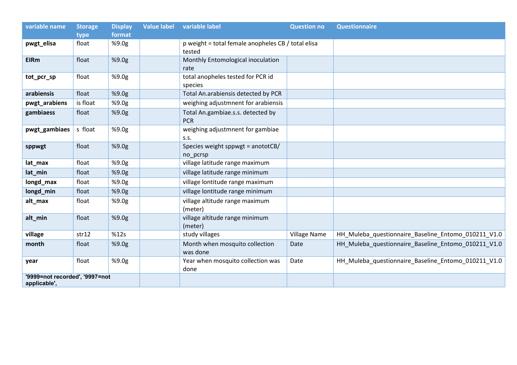| variable name                                  | <b>Storage</b> | <b>Display</b> | <b>Value label</b> | variable label                                               | <b>Question no</b>  | <b>Questionnaire</b>                                |
|------------------------------------------------|----------------|----------------|--------------------|--------------------------------------------------------------|---------------------|-----------------------------------------------------|
|                                                | type           | format         |                    |                                                              |                     |                                                     |
| pwgt_elisa                                     | float          | %9.0g          |                    | p weight = total female anopheles CB / total elisa<br>tested |                     |                                                     |
| <b>EIRm</b>                                    | float          | %9.0g          |                    | Monthly Entomological inoculation<br>rate                    |                     |                                                     |
| tot_pcr_sp                                     | float          | %9.0g          |                    | total anopheles tested for PCR id<br>species                 |                     |                                                     |
| arabiensis                                     | float          | %9.0g          |                    | Total An.arabiensis detected by PCR                          |                     |                                                     |
| pwgt_arabiens                                  | is float       | %9.0g          |                    | weighing adjustmnent for arabiensis                          |                     |                                                     |
| gambiaess                                      | float          | %9.0g          |                    | Total An.gambiae.s.s. detected by<br><b>PCR</b>              |                     |                                                     |
| pwgt_gambiaes                                  | s float        | %9.0g          |                    | weighing adjustmnent for gambiae<br>S.S.                     |                     |                                                     |
| sppwgt                                         | float          | %9.0g          |                    | Species weight sppwgt = anototCB/<br>no_pcrsp                |                     |                                                     |
| lat_max                                        | float          | %9.0g          |                    | village latitude range maximum                               |                     |                                                     |
| lat_min                                        | float          | %9.0g          |                    | village latitude range minimum                               |                     |                                                     |
| longd_max                                      | float          | %9.0g          |                    | village lontitude range maximum                              |                     |                                                     |
| longd_min                                      | float          | %9.0g          |                    | village lontitude range minimum                              |                     |                                                     |
| alt_max                                        | float          | %9.0g          |                    | village altitude range maximum<br>(meter)                    |                     |                                                     |
| alt_min                                        | float          | %9.0g          |                    | village altitude range minimum<br>(meter)                    |                     |                                                     |
| village                                        | str12          | %12s           |                    | study villages                                               | <b>Village Name</b> | HH_Muleba_questionnaire_Baseline_Entomo_010211_V1.0 |
| month                                          | float          | %9.0g          |                    | Month when mosquito collection<br>was done                   | Date                | HH_Muleba_questionnaire_Baseline_Entomo_010211_V1.0 |
| year                                           | float          | %9.0g          |                    | Year when mosquito collection was<br>done                    | Date                | HH_Muleba_questionnaire_Baseline_Entomo_010211_V1.0 |
| '9999=not recorded', '9997=not<br>applicable', |                |                |                    |                                                              |                     |                                                     |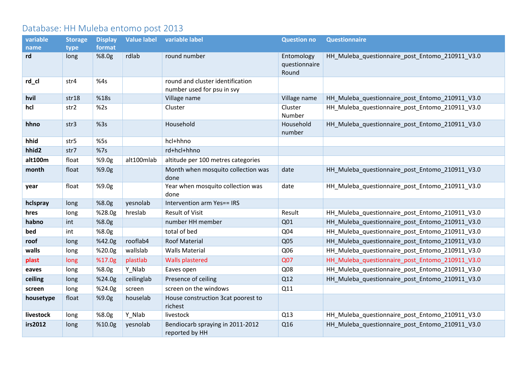## Database: HH Muleba entomo post 2013

| variable  | <b>Storage</b> | <b>Display</b> | <b>Value label</b> | variable label                                                 | <b>Question no</b>                   | <b>Questionnaire</b>                            |
|-----------|----------------|----------------|--------------------|----------------------------------------------------------------|--------------------------------------|-------------------------------------------------|
| name      | type           | format         |                    |                                                                |                                      |                                                 |
| rd        | long           | %8.0g          | rdlab              | round number                                                   | Entomology<br>questionnaire<br>Round | HH_Muleba_questionnaire_post_Entomo_210911_V3.0 |
| rd_cl     | str4           | %4s            |                    | round and cluster identification<br>number used for psu in svy |                                      |                                                 |
| hvil      | str18          | %18s           |                    | Village name                                                   | Village name                         | HH_Muleba_questionnaire_post_Entomo_210911_V3.0 |
| hcl       | str2           | %2s            |                    | Cluster                                                        | Cluster<br>Number                    | HH_Muleba_questionnaire_post_Entomo_210911_V3.0 |
| hhno      | str3           | %3s            |                    | Household                                                      | Household<br>number                  | HH_Muleba_questionnaire_post_Entomo_210911_V3.0 |
| hhid      | str5           | %5s            |                    | hcl+hhno                                                       |                                      |                                                 |
| hhid2     | str7           | %7s            |                    | rd+hcl+hhno                                                    |                                      |                                                 |
| alt100m   | float          | %9.0g          | alt100mlab         | altitude per 100 metres categories                             |                                      |                                                 |
| month     | float          | %9.0g          |                    | Month when mosquito collection was<br>done                     | date                                 | HH_Muleba_questionnaire_post_Entomo_210911_V3.0 |
| year      | float          | %9.0g          |                    | Year when mosquito collection was<br>done                      | date                                 | HH_Muleba_questionnaire_post_Entomo_210911_V3.0 |
| hclspray  | long           | %8.0g          | yesnolab           | Intervention arm Yes== IRS                                     |                                      |                                                 |
| hres      | long           | %28.0g         | hreslab            | <b>Result of Visit</b>                                         | Result                               | HH_Muleba_questionnaire_post_Entomo_210911_V3.0 |
| habno     | int            | %8.0g          |                    | number HH member                                               | Q <sub>01</sub>                      | HH_Muleba_questionnaire_post_Entomo_210911_V3.0 |
| bed       | int            | %8.0g          |                    | total of bed                                                   | Q04                                  | HH_Muleba_questionnaire_post_Entomo_210911_V3.0 |
| roof      | long           | %42.0g         | rooflab4           | <b>Roof Material</b>                                           | Q <sub>05</sub>                      | HH_Muleba_questionnaire_post_Entomo_210911_V3.0 |
| walls     | long           | %20.0g         | wallslab           | <b>Walls Material</b>                                          | Q06                                  | HH_Muleba_questionnaire_post_Entomo_210911_V3.0 |
| plast     | long           | %17.0g         | plastlab           | <b>Walls plastered</b>                                         | Q07                                  | HH_Muleba_questionnaire_post_Entomo_210911_V3.0 |
| eaves     | long           | %8.0g          | Y_Nlab             | Eaves open                                                     | Q08                                  | HH_Muleba_questionnaire_post_Entomo_210911_V3.0 |
| ceiling   | long           | %24.0g         | ceilinglab         | Presence of ceiling                                            | Q12                                  | HH_Muleba_questionnaire_post_Entomo_210911_V3.0 |
| screen    | long           | %24.0g         | screen             | screen on the windows                                          | Q11                                  |                                                 |
| housetype | float          | %9.0g          | houselab           | House construction 3cat poorest to<br>richest                  |                                      |                                                 |
| livestock | long           | %8.0g          | Y Nlab             | livestock                                                      | Q13                                  | HH_Muleba_questionnaire_post_Entomo_210911_V3.0 |
| irs2012   | long           | %10.0g         | yesnolab           | Bendiocarb spraying in 2011-2012<br>reported by HH             | Q16                                  | HH_Muleba_questionnaire_post_Entomo_210911_V3.0 |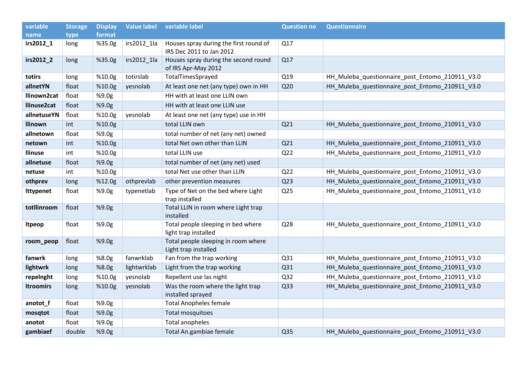| variable         | <b>Storage</b> | <b>Display</b> | <b>Value label</b> | variable label                                                     | <b>Question no</b> | <b>Questionnaire</b>                            |
|------------------|----------------|----------------|--------------------|--------------------------------------------------------------------|--------------------|-------------------------------------------------|
| name             | type           | format         |                    |                                                                    |                    |                                                 |
| irs2012_1        | long           | %35.0g         | irs2012_1la        | Houses spray during the first round of<br>IRS Dec 2011 to Jan 2012 | Q17                |                                                 |
| irs2012_2        | long           | %35.0g         | irs2012_1la        | Houses spray during the second round<br>of IRS Apr-May 2012        | Q17                |                                                 |
| totirs           | long           | %10.0g         | totirslab          | TotalTimesSprayed                                                  | Q19                | HH_Muleba_questionnaire_post_Entomo_210911_V3.0 |
| allnetYN         | float          | %10.0g         | yesnolab           | At least one net (any type) own in HH                              | Q <sub>20</sub>    | HH Muleba questionnaire post Entomo 210911 V3.0 |
| llinown2cat      | float          | %9.0g          |                    | HH with at least one LLIN own                                      |                    |                                                 |
| llinuse2cat      | float          | %9.0g          |                    | HH with at least one LLIN use                                      |                    |                                                 |
| allnetuseYN      | float          | %10.0g         | yesnolab           | At least one net (any type) use in HH                              |                    |                                                 |
| <b>Ilinown</b>   | int            | %10.0g         |                    | total LLIN own                                                     | Q <sub>21</sub>    | HH_Muleba_questionnaire_post_Entomo_210911_V3.0 |
| allnetown        | float          | %9.0g          |                    | total number of net (any net) owned                                |                    |                                                 |
| netown           | int            | %10.0g         |                    | total Net own other than LLIN                                      | Q <sub>21</sub>    | HH_Muleba_questionnaire_post_Entomo_210911_V3.0 |
| <b>Ilinuse</b>   | int            | %10.0g         |                    | total LLIN use                                                     | Q <sub>22</sub>    | HH_Muleba_questionnaire_post_Entomo_210911_V3.0 |
| allnetuse        | float          | %9.0g          |                    | total number of net (any net) used                                 |                    |                                                 |
| netuse           | int            | %10.0g         |                    | total Net use other than LLIN                                      | Q <sub>22</sub>    | HH_Muleba_questionnaire_post_Entomo_210911_V3.0 |
| othprev          | long           | %12.0g         | othprevlab         | other prevention measures                                          | Q <sub>23</sub>    | HH_Muleba_questionnaire_post_Entomo_210911_V3.0 |
| <b>Ittypenet</b> | float          | %9.0g          | typenetlab         | Type of Net on the bed where Light<br>trap installed               | Q <sub>25</sub>    | HH_Muleba_questionnaire_post_Entomo_210911_V3.0 |
| totllinroom      | float          | %9.0g          |                    | Total LLIN in room where Light trap<br>installed                   |                    |                                                 |
| <b>Itpeop</b>    | float          | %9.0g          |                    | Total people sleeping in bed where<br>light trap installed         | Q28                | HH_Muleba_questionnaire_post_Entomo_210911_V3.0 |
| room_peop        | float          | %9.0g          |                    | Total people sleeping in room where<br>Light trap installed        |                    |                                                 |
| fanwrk           | long           | %8.0g          | fanwrklab          | Fan from the trap working                                          | Q31                | HH_Muleba_questionnaire_post_Entomo_210911_V3.0 |
| lightwrk         | long           | %8.0g          | lightwrklab        | Light from the trap working                                        | Q31                | HH_Muleba_questionnaire_post_Entomo_210911_V3.0 |
| repelnght        | long           | %10.0g         | yesnolab           | Repellent use las night                                            | Q <sub>32</sub>    | HH_Muleba_questionnaire_post_Entomo_210911_V3.0 |
| <b>Itroomirs</b> | long           | %10.0g         | yesnolab           | Was the room where the light trap<br>installed sprayed             | Q <sub>33</sub>    | HH_Muleba_questionnaire_post_Entomo_210911_V3.0 |
| anotot_f         | float          | %9.0g          |                    | <b>Total Anopheles female</b>                                      |                    |                                                 |
| mosqtot          | float          | %9.0g          |                    | Total mosquitoes                                                   |                    |                                                 |
| anotot           | float          | %9.0g          |                    | <b>Total anopheles</b>                                             |                    |                                                 |
| gambiaef         | double         | %9.0g          |                    | Total An.gambiae female                                            | Q <sub>35</sub>    | HH_Muleba_questionnaire_post_Entomo_210911_V3.0 |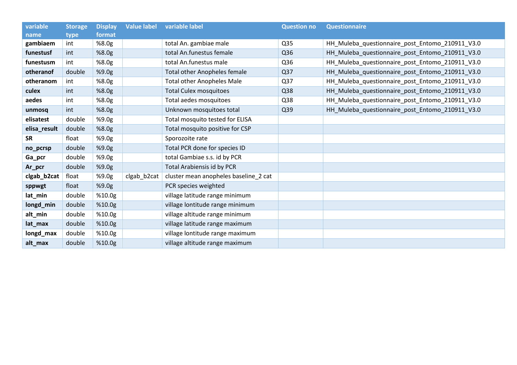| variable     | <b>Storage</b> | <b>Display</b> | <b>Value label</b> | variable label                        | <b>Question no</b> | <b>Questionnaire</b>                            |
|--------------|----------------|----------------|--------------------|---------------------------------------|--------------------|-------------------------------------------------|
| name         | type           | format         |                    |                                       |                    |                                                 |
| gambiaem     | int            | %8.0g          |                    | total An. gambiae male                | Q35                | HH_Muleba_questionnaire_post_Entomo_210911_V3.0 |
| funestusf    | int            | %8.0g          |                    | total An.funestus female              | Q <sub>36</sub>    | HH_Muleba_questionnaire_post_Entomo_210911_V3.0 |
| funestusm    | int            | %8.0g          |                    | total An.funestus male                | Q <sub>36</sub>    | HH_Muleba_questionnaire_post_Entomo_210911_V3.0 |
| otheranof    | double         | %9.0g          |                    | <b>Total other Anopheles female</b>   | Q <sub>37</sub>    | HH_Muleba_questionnaire_post_Entomo_210911_V3.0 |
| otheranom    | int            | %8.0g          |                    | <b>Total other Anopheles Male</b>     | Q <sub>37</sub>    | HH_Muleba_questionnaire_post_Entomo_210911_V3.0 |
| culex        | int            | %8.0g          |                    | <b>Total Culex mosquitoes</b>         | Q <sub>38</sub>    | HH_Muleba_questionnaire_post_Entomo_210911_V3.0 |
| aedes        | int            | %8.0g          |                    | Total aedes mosquitoes                | Q38                | HH_Muleba_questionnaire_post_Entomo_210911_V3.0 |
| unmosq       | int            | %8.0g          |                    | Unknown mosquitoes total              | Q <sub>39</sub>    | HH_Muleba_questionnaire_post_Entomo_210911_V3.0 |
| elisatest    | double         | %9.0g          |                    | Total mosquito tested for ELISA       |                    |                                                 |
| elisa_result | double         | %8.0g          |                    | Total mosquito positive for CSP       |                    |                                                 |
| <b>SR</b>    | float          | %9.0g          |                    | Sporozoite rate                       |                    |                                                 |
| no_pcrsp     | double         | %9.0g          |                    | Total PCR done for species ID         |                    |                                                 |
| Ga_pcr       | double         | %9.0g          |                    | total Gambiae s.s. id by PCR          |                    |                                                 |
| Ar_pcr       | double         | %9.0g          |                    | <b>Total Arabiensis id by PCR</b>     |                    |                                                 |
| clgab_b2cat  | float          | %9.0g          | clgab_b2cat        | cluster mean anopheles baseline_2 cat |                    |                                                 |
| sppwgt       | float          | %9.0g          |                    | PCR species weighted                  |                    |                                                 |
| lat_min      | double         | %10.0g         |                    | village latitude range minimum        |                    |                                                 |
| longd_min    | double         | %10.0g         |                    | village lontitude range minimum       |                    |                                                 |
| alt_min      | double         | %10.0g         |                    | village altitude range minimum        |                    |                                                 |
| lat_max      | double         | %10.0g         |                    | village latitude range maximum        |                    |                                                 |
| longd_max    | double         | %10.0g         |                    | village lontitude range maximum       |                    |                                                 |
| alt_max      | double         | %10.0g         |                    | village altitude range maximum        |                    |                                                 |